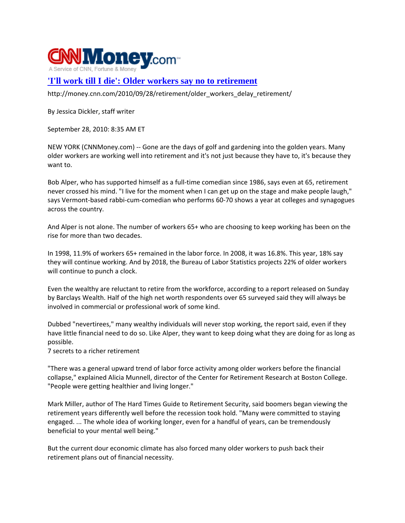

## **['I'll work till I die': Older workers say no to retirement](http://money.cnn.com/2010/09/28/retirement/older_workers_delay_retirement/)**

http://money.cnn.com/2010/09/28/retirement/older\_workers\_delay\_retirement/

By Jessica Dickler, staff writer

September 28, 2010: 8:35 AM ET

NEW YORK (CNNMoney.com) ‐‐ Gone are the days of golf and gardening into the golden years. Many older workers are working well into retirement and it's not just because they have to, it's because they want to.

Bob Alper, who has supported himself as a full‐time comedian since 1986, says even at 65, retirement never crossed his mind. "I live for the moment when I can get up on the stage and make people laugh," says Vermont-based rabbi-cum-comedian who performs 60-70 shows a year at colleges and synagogues across the country.

And Alper is not alone. The number of workers 65+ who are choosing to keep working has been on the rise for more than two decades.

In 1998, 11.9% of workers 65+ remained in the labor force. In 2008, it was 16.8%. This year, 18% say they will continue working. And by 2018, the Bureau of Labor Statistics projects 22% of older workers will continue to punch a clock.

Even the wealthy are reluctant to retire from the workforce, according to a report released on Sunday by Barclays Wealth. Half of the high net worth respondents over 65 surveyed said they will always be involved in commercial or professional work of some kind.

Dubbed "nevertirees," many wealthy individuals will never stop working, the report said, even if they have little financial need to do so. Like Alper, they want to keep doing what they are doing for as long as possible.

7 secrets to a richer retirement

"There was a general upward trend of labor force activity among older workers before the financial collapse," explained Alicia Munnell, director of the Center for Retirement Research at Boston College. "People were getting healthier and living longer."

Mark Miller, author of The Hard Times Guide to Retirement Security, said boomers began viewing the retirement years differently well before the recession took hold. "Many were committed to staying engaged. ... The whole idea of working longer, even for a handful of years, can be tremendously beneficial to your mental well being."

But the current dour economic climate has also forced many older workers to push back their retirement plans out of financial necessity.